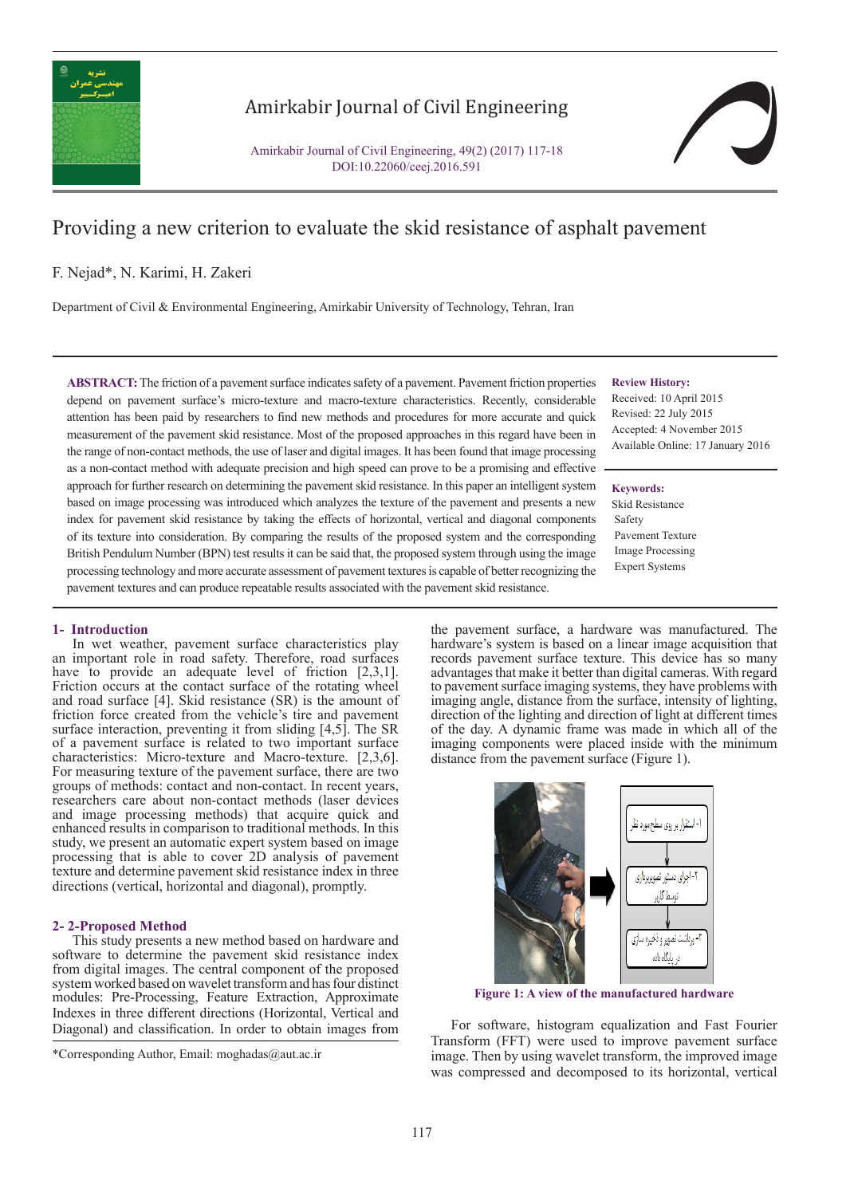

# Amirkabir Journal of Civil Engineering

Amirkabir Journal of Civil Engineering, 49(2) (2017) 117-18 DOI:10.22060/ceej.2016.591

# Providing a new criterion to evaluate the skid resistance of asphalt pavement

# F. Nejad\*, N. Karimi, H. Zakeri

Department of Civil & Environmental Engineering, Amirkabir University of Technology, Tehran, Iran

**ABSTRACT:** The friction of a pavement surface indicates safety of a pavement. Pavement friction properties depend on pavement surface's micro-texture and macro-texture characteristics. Recently, considerable attention has been paid by researchers to find new methods and procedures for more accurate and quick measurement of the pavement skid resistance. Most of the proposed approaches in this regard have been in the range of non-contact methods, the use of laser and digital images. It has been found that image processing as a non-contact method with adequate precision and high speed can prove to be a promising and effective approach for further research on determining the pavement skid resistance. In this paper an intelligent system based on image processing was introduced which analyzes the texture of the pavement and presents a new index for pavement skid resistance by taking the effects of horizontal, vertical and diagonal components of its texture into consideration. By comparing the results of the proposed system and the corresponding British Pendulum Number (BPN) test results it can be said that, the proposed system through using the image processing technology and more accurate assessment of pavement textures is capable of better recognizing the pavement textures and can produce repeatable results associated with the pavement skid resistance.

#### **Review History:**

Received: 10 April 2015 Revised: 22 July 2015 Accepted: 4 November 2015 Available Online: 17 January 2016

#### **Keywords:**

Skid Resistance Safety Pavement Texture Image Processing Expert Systems

#### **1- Introduction**

.

In wet weather, pavement surface characteristics play an important role in road safety. Therefore, road surfaces have to provide an adequate level of friction [2,3,1]. Friction occurs at the contact surface of the rotating wheel and road surface [4]. Skid resistance (SR) is the amount of friction force created from the vehicle's tire and pavement surface interaction, preventing it from sliding [4,5]. The SR of a pavement surface is related to two important surface characteristics: Micro-texture and Macro-texture. [2,3,6]. For measuring texture of the pavement surface, there are two groups of methods: contact and non-contact. In recent years, researchers care about non-contact methods (laser devices and image processing methods) that acquire quick and enhanced results in comparison to traditional methods. In this study, we present an automatic expert system based on image processing that is able to cover 2D analysis of pavement texture and determine pavement skid resistance index in three directions (vertical, horizontal and diagonal), promptly.

### **2- 2-Proposed Method**

This study presents a new method based on hardware and software to determine the pavement skid resistance index from digital images. The central component of the proposed system worked based on wavelet transform and has four distinct modules: Pre-Processing, Feature Extraction, Approximate Indexes in three different directions (Horizontal, Vertical and Diagonal) and classification. In order to obtain images from

the pavement surface, a hardware was manufactured. The hardware's system is based on a linear image acquisition that records pavement surface texture. This device has so many advantages that make it better than digital cameras. With regard to pavement surface imaging systems, they have problems with imaging angle, distance from the surface, intensity of lighting, direction of the lighting and direction of light at different times of the day. A dynamic frame was made in which all of the imaging components were placed inside with the minimum distance from the pavement surface (Figure 1).



**Figure 1: A view of the manufactured hardware**

For software, histogram equalization and Fast Fourier Transform (FFT) were used to improve pavement surface image. Then by using wavelet transform, the improved image was compressed and decomposed to its horizontal, vertical

<sup>\*</sup>Corresponding Author, Email: moghadas@aut.ac.ir